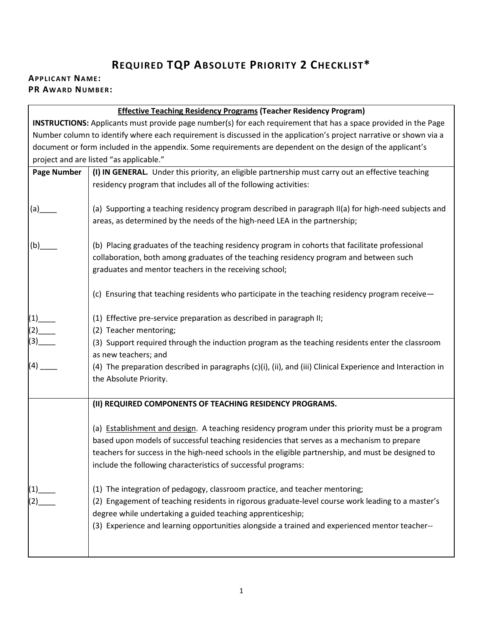## **REQUIRED TQP ABSOLUTE PRIORITY 2 CHECKLIST\***

## **APPLICANT NAME: PR AWARD NUMBER:**

| <b>Effective Teaching Residency Programs (Teacher Residency Program)</b>                                               |                                                                                                            |  |  |  |
|------------------------------------------------------------------------------------------------------------------------|------------------------------------------------------------------------------------------------------------|--|--|--|
| <b>INSTRUCTIONS:</b> Applicants must provide page number(s) for each requirement that has a space provided in the Page |                                                                                                            |  |  |  |
| Number column to identify where each requirement is discussed in the application's project narrative or shown via a    |                                                                                                            |  |  |  |
| document or form included in the appendix. Some requirements are dependent on the design of the applicant's            |                                                                                                            |  |  |  |
|                                                                                                                        | project and are listed "as applicable."                                                                    |  |  |  |
| <b>Page Number</b>                                                                                                     | (I) IN GENERAL. Under this priority, an eligible partnership must carry out an effective teaching          |  |  |  |
|                                                                                                                        | residency program that includes all of the following activities:                                           |  |  |  |
|                                                                                                                        |                                                                                                            |  |  |  |
| (a)                                                                                                                    | (a) Supporting a teaching residency program described in paragraph II(a) for high-need subjects and        |  |  |  |
|                                                                                                                        | areas, as determined by the needs of the high-need LEA in the partnership;                                 |  |  |  |
|                                                                                                                        |                                                                                                            |  |  |  |
| (b)                                                                                                                    | (b) Placing graduates of the teaching residency program in cohorts that facilitate professional            |  |  |  |
|                                                                                                                        | collaboration, both among graduates of the teaching residency program and between such                     |  |  |  |
|                                                                                                                        | graduates and mentor teachers in the receiving school;                                                     |  |  |  |
|                                                                                                                        |                                                                                                            |  |  |  |
|                                                                                                                        | (c) Ensuring that teaching residents who participate in the teaching residency program receive-            |  |  |  |
|                                                                                                                        |                                                                                                            |  |  |  |
| $(1)$ <sub>—</sub>                                                                                                     | (1) Effective pre-service preparation as described in paragraph II;                                        |  |  |  |
|                                                                                                                        | (2) Teacher mentoring;                                                                                     |  |  |  |
| $(2)$ (3)                                                                                                              | (3) Support required through the induction program as the teaching residents enter the classroom           |  |  |  |
|                                                                                                                        | as new teachers; and                                                                                       |  |  |  |
| (4)                                                                                                                    | (4) The preparation described in paragraphs (c)(i), (ii), and (iii) Clinical Experience and Interaction in |  |  |  |
|                                                                                                                        | the Absolute Priority.                                                                                     |  |  |  |
|                                                                                                                        |                                                                                                            |  |  |  |
|                                                                                                                        | (II) REQUIRED COMPONENTS OF TEACHING RESIDENCY PROGRAMS.                                                   |  |  |  |
|                                                                                                                        |                                                                                                            |  |  |  |
|                                                                                                                        | (a) Establishment and design. A teaching residency program under this priority must be a program           |  |  |  |
|                                                                                                                        | based upon models of successful teaching residencies that serves as a mechanism to prepare                 |  |  |  |
|                                                                                                                        | teachers for success in the high-need schools in the eligible partnership, and must be designed to         |  |  |  |
|                                                                                                                        | include the following characteristics of successful programs:                                              |  |  |  |
|                                                                                                                        |                                                                                                            |  |  |  |
|                                                                                                                        | (1) The integration of pedagogy, classroom practice, and teacher mentoring;                                |  |  |  |
|                                                                                                                        | (2) Engagement of teaching residents in rigorous graduate-level course work leading to a master's          |  |  |  |
|                                                                                                                        | degree while undertaking a guided teaching apprenticeship;                                                 |  |  |  |
|                                                                                                                        | (3) Experience and learning opportunities alongside a trained and experienced mentor teacher--             |  |  |  |
|                                                                                                                        |                                                                                                            |  |  |  |
|                                                                                                                        |                                                                                                            |  |  |  |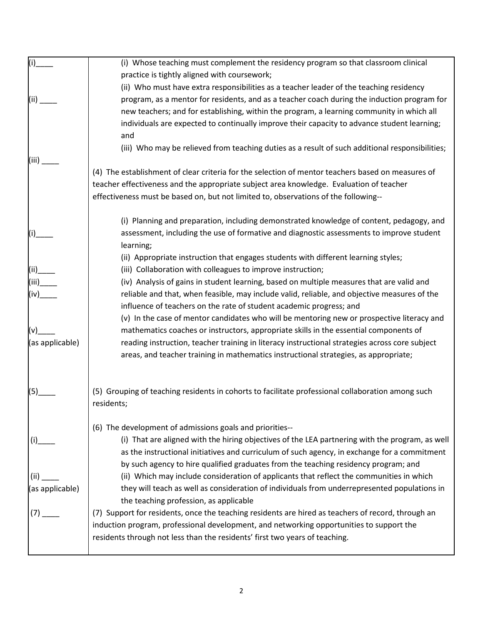| (i)             | (i) Whose teaching must complement the residency program so that classroom clinical                                                                         |
|-----------------|-------------------------------------------------------------------------------------------------------------------------------------------------------------|
|                 | practice is tightly aligned with coursework;                                                                                                                |
|                 | (ii) Who must have extra responsibilities as a teacher leader of the teaching residency                                                                     |
| (ii)            | program, as a mentor for residents, and as a teacher coach during the induction program for                                                                 |
|                 | new teachers; and for establishing, within the program, a learning community in which all                                                                   |
|                 | individuals are expected to continually improve their capacity to advance student learning;                                                                 |
|                 | and                                                                                                                                                         |
|                 | (iii) Who may be relieved from teaching duties as a result of such additional responsibilities;                                                             |
| (iii)           |                                                                                                                                                             |
|                 | (4) The establishment of clear criteria for the selection of mentor teachers based on measures of                                                           |
|                 | teacher effectiveness and the appropriate subject area knowledge. Evaluation of teacher                                                                     |
|                 | effectiveness must be based on, but not limited to, observations of the following--                                                                         |
|                 | (i) Planning and preparation, including demonstrated knowledge of content, pedagogy, and                                                                    |
| (i)             | assessment, including the use of formative and diagnostic assessments to improve student                                                                    |
|                 | learning;                                                                                                                                                   |
|                 | (ii) Appropriate instruction that engages students with different learning styles;                                                                          |
| (ii)            | (iii) Collaboration with colleagues to improve instruction;                                                                                                 |
|                 | (iv) Analysis of gains in student learning, based on multiple measures that are valid and                                                                   |
| (iv)            | reliable and that, when feasible, may include valid, reliable, and objective measures of the                                                                |
|                 | influence of teachers on the rate of student academic progress; and                                                                                         |
|                 | (v) In the case of mentor candidates who will be mentoring new or prospective literacy and                                                                  |
|                 | mathematics coaches or instructors, appropriate skills in the essential components of                                                                       |
| (as applicable) | reading instruction, teacher training in literacy instructional strategies across core subject                                                              |
|                 | areas, and teacher training in mathematics instructional strategies, as appropriate;                                                                        |
|                 |                                                                                                                                                             |
| (5)             | (5) Grouping of teaching residents in cohorts to facilitate professional collaboration among such                                                           |
|                 | residents;                                                                                                                                                  |
|                 |                                                                                                                                                             |
|                 | (6) The development of admissions goals and priorities--<br>(i) That are aligned with the hiring objectives of the LEA partnering with the program, as well |
| (i)             |                                                                                                                                                             |
|                 | as the instructional initiatives and curriculum of such agency, in exchange for a commitment                                                                |
|                 | by such agency to hire qualified graduates from the teaching residency program; and                                                                         |
| (ii)            | (ii) Which may include consideration of applicants that reflect the communities in which                                                                    |
| (as applicable) | they will teach as well as consideration of individuals from underrepresented populations in<br>the teaching profession, as applicable                      |
|                 | (7) Support for residents, once the teaching residents are hired as teachers of record, through an                                                          |
| (7)             | induction program, professional development, and networking opportunities to support the                                                                    |
|                 | residents through not less than the residents' first two years of teaching.                                                                                 |
|                 |                                                                                                                                                             |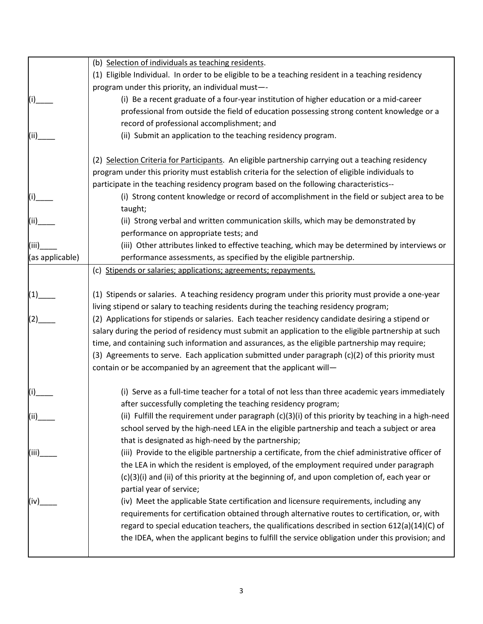|                 | (b) Selection of individuals as teaching residents.                                                                       |
|-----------------|---------------------------------------------------------------------------------------------------------------------------|
|                 | (1) Eligible Individual. In order to be eligible to be a teaching resident in a teaching residency                        |
|                 | program under this priority, an individual must--                                                                         |
|                 | (i) Be a recent graduate of a four-year institution of higher education or a mid-career                                   |
|                 | professional from outside the field of education possessing strong content knowledge or a                                 |
|                 | record of professional accomplishment; and                                                                                |
|                 | (ii) Submit an application to the teaching residency program.                                                             |
|                 | (2) Selection Criteria for Participants. An eligible partnership carrying out a teaching residency                        |
|                 | program under this priority must establish criteria for the selection of eligible individuals to                          |
|                 | participate in the teaching residency program based on the following characteristics--                                    |
|                 | (i) Strong content knowledge or record of accomplishment in the field or subject area to be<br>taught;                    |
|                 | (ii) Strong verbal and written communication skills, which may be demonstrated by                                         |
|                 | performance on appropriate tests; and                                                                                     |
| (iii)           | (iii) Other attributes linked to effective teaching, which may be determined by interviews or                             |
| (as applicable) | performance assessments, as specified by the eligible partnership.                                                        |
|                 | (c) Stipends or salaries; applications; agreements; repayments.                                                           |
| $(1)$ __        | (1) Stipends or salaries. A teaching residency program under this priority must provide a one-year                        |
| (2)             | living stipend or salary to teaching residents during the teaching residency program;                                     |
|                 | (2) Applications for stipends or salaries. Each teacher residency candidate desiring a stipend or                         |
|                 | salary during the period of residency must submit an application to the eligible partnership at such                      |
|                 | time, and containing such information and assurances, as the eligible partnership may require;                            |
|                 | (3) Agreements to serve. Each application submitted under paragraph (c)(2) of this priority must                          |
|                 | contain or be accompanied by an agreement that the applicant will-                                                        |
|                 | (i) Serve as a full-time teacher for a total of not less than three academic years immediately                            |
|                 | after successfully completing the teaching residency program;                                                             |
| (ii)            | (ii) Fulfill the requirement under paragraph $(c)(3)(i)$ of this priority by teaching in a high-need                      |
|                 | school served by the high-need LEA in the eligible partnership and teach a subject or area                                |
|                 | that is designated as high-need by the partnership;                                                                       |
| (iii)           | (iii) Provide to the eligible partnership a certificate, from the chief administrative officer of                         |
|                 | the LEA in which the resident is employed, of the employment required under paragraph                                     |
|                 | (c)(3)(i) and (ii) of this priority at the beginning of, and upon completion of, each year or<br>partial year of service; |
| (iv)            | (iv) Meet the applicable State certification and licensure requirements, including any                                    |
|                 | requirements for certification obtained through alternative routes to certification, or, with                             |
|                 | regard to special education teachers, the qualifications described in section 612(a)(14)(C) of                            |
|                 | the IDEA, when the applicant begins to fulfill the service obligation under this provision; and                           |
|                 |                                                                                                                           |